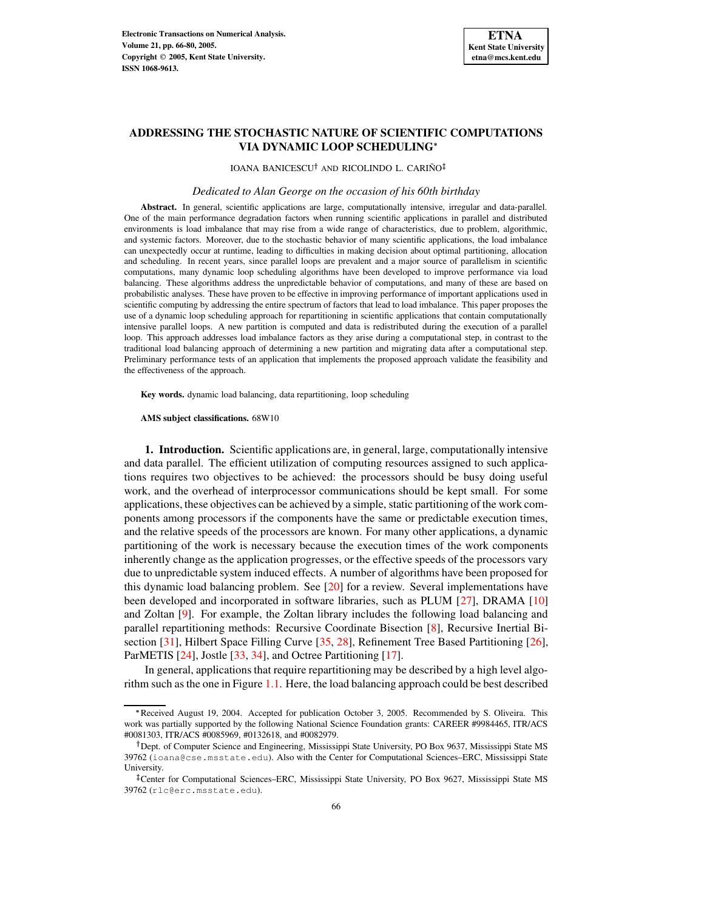

# **ADDRESSING THE STOCHASTIC NATURE OF SCIENTIFIC COMPUTATIONS VIA DYNAMIC LOOP SCHEDULING**

IOANA BANICESCU<sup>†</sup> AND RICOLINDO L. CARIÑO

#### *Dedicated to Alan George on the occasion of his 60th birthday*

**Abstract.** In general, scientific applications are large, computationally intensive, irregular and data-parallel. One of the main performance degradation factors when running scientific applications in parallel and distributed environments is load imbalance that may rise from a wide range of characteristics, due to problem, algorithmic, and systemic factors. Moreover, due to the stochastic behavior of many scientific applications, the load imbalance can unexpectedly occur at runtime, leading to difficulties in making decision about optimal partitioning, allocation and scheduling. In recent years, since parallel loops are prevalent and a major source of parallelism in scientific computations, many dynamic loop scheduling algorithms have been developed to improve performance via load balancing. These algorithms address the unpredictable behavior of computations, and many of these are based on probabilistic analyses. These have proven to be effective in improving performance of important applications used in scientific computing by addressing the entire spectrum of factors that lead to load imbalance. This paper proposes the use of a dynamic loop scheduling approach for repartitioning in scientific applications that contain computationally intensive parallel loops. A new partition is computed and data is redistributed during the execution of a parallel loop. This approach addresses load imbalance factors as they arise during a computational step, in contrast to the traditional load balancing approach of determining a new partition and migrating data after a computational step. Preliminary performance tests of an application that implements the proposed approach validate the feasibility and the effectiveness of the approach.

**Key words.** dynamic load balancing, data repartitioning, loop scheduling

**AMS subject classifications.** 68W10

**1. Introduction.** Scientific applications are, in general, large, computationally intensive and data parallel. The efficient utilization of computing resources assigned to such applications requires two objectives to be achieved: the processors should be busy doing useful work, and the overhead of interprocessor communications should be kept small. For some applications, these objectives can be achieved by a simple, static partitioning of the work components among processors if the components have the same or predictable execution times, and the relative speeds of the processors are known. For many other applications, a dynamic partitioning of the work is necessary because the execution times of the work components inherently change as the application progresses, or the effective speeds of the processors vary due to unpredictable system induced effects. A number of algorithms have been proposed for this dynamic load balancing problem. See  $[20]$  for a review. Several implementations have been developed and incorporated in software libraries, such as PLUM [\[27\]](#page-13-1), DRAMA [\[10\]](#page-13-2) and Zoltan [\[9\]](#page-13-3). For example, the Zoltan library includes the following load balancing and parallel repartitioning methods: Recursive Coordinate Bisection [\[8\]](#page-13-4), Recursive Inertial Bisection [\[31\]](#page-14-0), Hilbert Space Filling Curve [\[35,](#page-14-1) [28\]](#page-13-5), Refinement Tree Based Partitioning [\[26\]](#page-13-6), ParMETIS [\[24\]](#page-13-7), Jostle [\[33,](#page-14-2) [34\]](#page-14-3), and Octree Partitioning [\[17\]](#page-13-8).

In general, applications that require repartitioning may be described by a high level algorithm such as the one in Figure [1.1.](#page-1-0) Here, the load balancing approach could be best described

<sup>\*</sup>Received August 19, 2004. Accepted for publication October 3, 2005. Recommended by S. Oliveira. This work was partially supported by the following National Science Foundation grants: CAREER #9984465, ITR/ACS #0081303, ITR/ACS #0085969, #0132618, and #0082979.

<sup>&</sup>lt;sup>†</sup> Dept. of Computer Science and Engineering, Mississippi State University, PO Box 9637, Mississippi State MS 39762 (ioana@cse.msstate.edu). Also with the Center for Computational Sciences–ERC, Mississippi State University.

<sup>-</sup> Center for Computational Sciences–ERC, Mississippi State University, PO Box 9627, Mississippi State MS 39762 (rlc@erc.msstate.edu).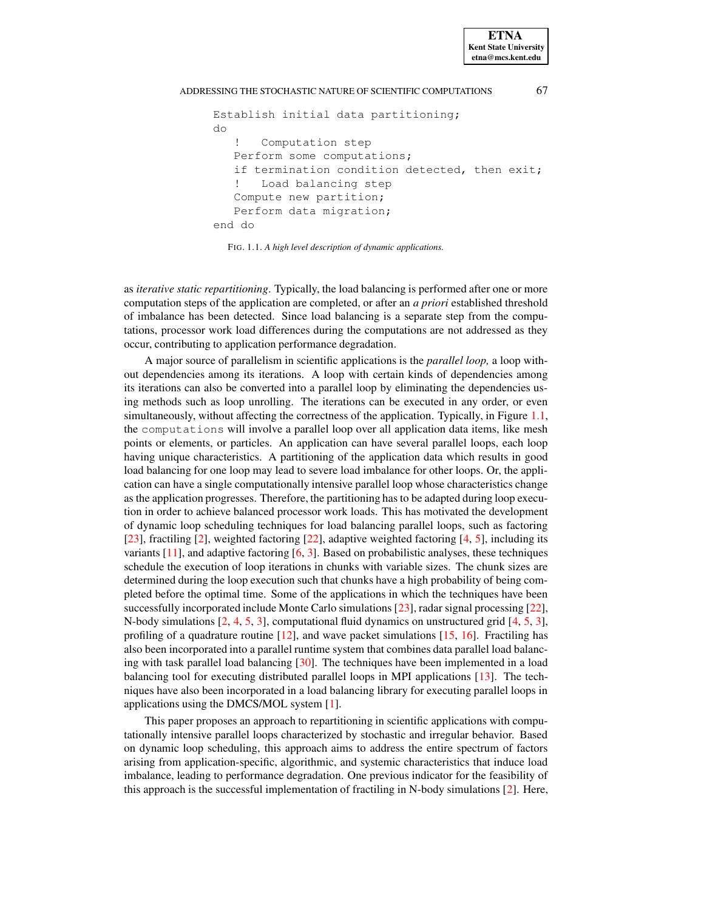```
Establish initial data partitioning;
do
   ! Computation step
  Perform some computations;
   if termination condition detected, then exit;
   ! Load balancing step
   Compute new partition;
   Perform data migration;
end do
```
<span id="page-1-0"></span>FIG. 1.1. *A high level description of dynamic applications.*

as *iterative static repartitioning*. Typically, the load balancing is performed after one or more computation steps of the application are completed, or after an *a priori* established threshold of imbalance has been detected. Since load balancing is a separate step from the computations, processor work load differences during the computations are not addressed as they occur, contributing to application performance degradation.

A major source of parallelism in scientific applications is the *parallel loop,* a loop without dependencies among its iterations. A loop with certain kinds of dependencies among its iterations can also be converted into a parallel loop by eliminating the dependencies using methods such as loop unrolling. The iterations can be executed in any order, or even simultaneously, without affecting the correctness of the application. Typically, in Figure [1.1,](#page-1-0) the computations will involve a parallel loop over all application data items, like mesh points or elements, or particles. An application can have several parallel loops, each loop having unique characteristics. A partitioning of the application data which results in good load balancing for one loop may lead to severe load imbalance for other loops. Or, the application can have a single computationally intensive parallel loop whose characteristics change as the application progresses. Therefore, the partitioning has to be adapted during loop execution in order to achieve balanced processor work loads. This has motivated the development of dynamic loop scheduling techniques for load balancing parallel loops, such as factoring [\[23\]](#page-13-9), fractiling [\[2\]](#page-12-0), weighted factoring [\[22\]](#page-13-10), adaptive weighted factoring [\[4,](#page-13-11) [5\]](#page-13-12), including its variants  $[11]$ , and adaptive factoring  $[6, 3]$  $[6, 3]$  $[6, 3]$ . Based on probabilistic analyses, these techniques schedule the execution of loop iterations in chunks with variable sizes. The chunk sizes are determined during the loop execution such that chunks have a high probability of being completed before the optimal time. Some of the applications in which the techniques have been successfully incorporated include Monte Carlo simulations [\[23\]](#page-13-9), radar signal processing [\[22\]](#page-13-10), N-body simulations [\[2,](#page-12-0) [4,](#page-13-11) [5,](#page-13-12) [3\]](#page-12-1), computational fluid dynamics on unstructured grid [\[4,](#page-13-11) [5,](#page-13-12) [3\]](#page-12-1), profiling of a quadrature routine  $[12]$ , and wave packet simulations  $[15, 16]$  $[15, 16]$  $[15, 16]$ . Fractiling has also been incorporated into a parallel runtime system that combines data parallel load balancing with task parallel load balancing [\[30\]](#page-14-4). The techniques have been implemented in a load balancing tool for executing distributed parallel loops in MPI applications [\[13\]](#page-13-18). The techniques have also been incorporated in a load balancing library for executing parallel loops in applications using the DMCS/MOL system [\[1\]](#page-12-2).

This paper proposes an approach to repartitioning in scientific applications with computationally intensive parallel loops characterized by stochastic and irregular behavior. Based on dynamic loop scheduling, this approach aims to address the entire spectrum of factors arising from application-specific, algorithmic, and systemic characteristics that induce load imbalance, leading to performance degradation. One previous indicator for the feasibility of this approach is the successful implementation of fractiling in N-body simulations [\[2\]](#page-12-0). Here,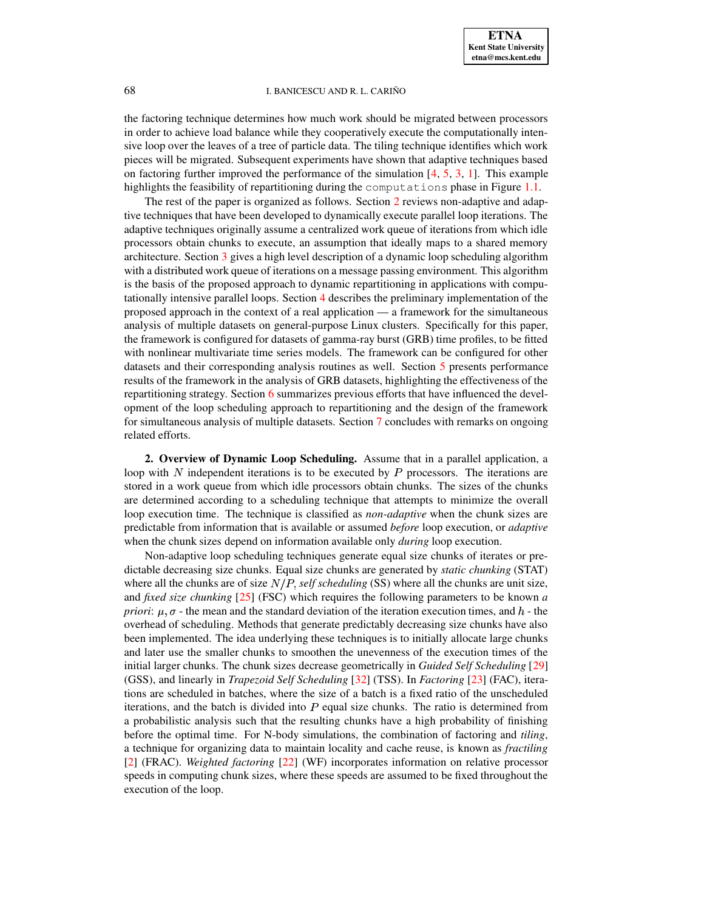the factoring technique determines how much work should be migrated between processors in order to achieve load balance while they cooperatively execute the computationally intensive loop over the leaves of a tree of particle data. The tiling technique identifies which work pieces will be migrated. Subsequent experiments have shown that adaptive techniques based on factoring further improved the performance of the simulation [\[4,](#page-13-11) [5,](#page-13-12) [3,](#page-12-1) [1\]](#page-12-2). This example highlights the feasibility of repartitioning during the computations phase in Figure [1.1.](#page-1-0)

The rest of the paper is organized as follows. Section [2](#page-2-0) reviews non-adaptive and adaptive techniques that have been developed to dynamically execute parallel loop iterations. The adaptive techniques originally assume a centralized work queue of iterations from which idle processors obtain chunks to execute, an assumption that ideally maps to a shared memory architecture. Section [3](#page-4-0) gives a high level description of a dynamic loop scheduling algorithm with a distributed work queue of iterations on a message passing environment. This algorithm is the basis of the proposed approach to dynamic repartitioning in applications with computationally intensive parallel loops. Section [4](#page-5-0) describes the preliminary implementation of the proposed approach in the context of a real application — a framework for the simultaneous analysis of multiple datasets on general-purpose Linux clusters. Specifically for this paper, the framework is configured for datasets of gamma-ray burst (GRB) time profiles, to be fitted with nonlinear multivariate time series models. The framework can be configured for other datasets and their corresponding analysis routines as well. Section [5](#page-8-0) presents performance results of the framework in the analysis of GRB datasets, highlighting the effectiveness of the repartitioning strategy. Section [6](#page-11-0) summarizes previous efforts that have influenced the development of the loop scheduling approach to repartitioning and the design of the framework for simultaneous analysis of multiple datasets. Section [7](#page-12-3) concludes with remarks on ongoing related efforts.

<span id="page-2-0"></span>**2. Overview of Dynamic Loop Scheduling.** Assume that in a parallel application, a loop with  $N$  independent iterations is to be executed by  $P$  processors. The iterations are stored in a work queue from which idle processors obtain chunks. The sizes of the chunks are determined according to a scheduling technique that attempts to minimize the overall loop execution time. The technique is classified as *non-adaptive* when the chunk sizes are predictable from information that is available or assumed *before* loop execution, or *adaptive* when the chunk sizes depend on information available only *during* loop execution.

Non-adaptive loop scheduling techniques generate equal size chunks of iterates or predictable decreasing size chunks. Equal size chunks are generated by *static chunking* (STAT) where all the chunks are of size  $N/P$ , self scheduling (SS) where all the chunks are unit size, and *fixed size chunking* [\[25\]](#page-13-19) (FSC) which requires the following parameters to be known *a priori*:  $\mu$ ,  $\sigma$  - the mean and the standard deviation of the iteration execution times, and  $h$  - the overhead of scheduling. Methods that generate predictably decreasing size chunks have also been implemented. The idea underlying these techniques is to initially allocate large chunks and later use the smaller chunks to smoothen the unevenness of the execution times of the initial larger chunks. The chunk sizes decrease geometrically in *Guided Self Scheduling* [\[29\]](#page-14-5) (GSS), and linearly in *Trapezoid Self Scheduling* [\[32\]](#page-14-6) (TSS). In *Factoring* [\[23\]](#page-13-9) (FAC), iterations are scheduled in batches, where the size of a batch is a fixed ratio of the unscheduled iterations, and the batch is divided into  $P$  equal size chunks. The ratio is determined from a probabilistic analysis such that the resulting chunks have a high probability of finishing before the optimal time. For N-body simulations, the combination of factoring and *tiling*, a technique for organizing data to maintain locality and cache reuse, is known as *fractiling* [\[2\]](#page-12-0) (FRAC). *Weighted factoring* [\[22\]](#page-13-10) (WF) incorporates information on relative processor speeds in computing chunk sizes, where these speeds are assumed to be fixed throughout the execution of the loop.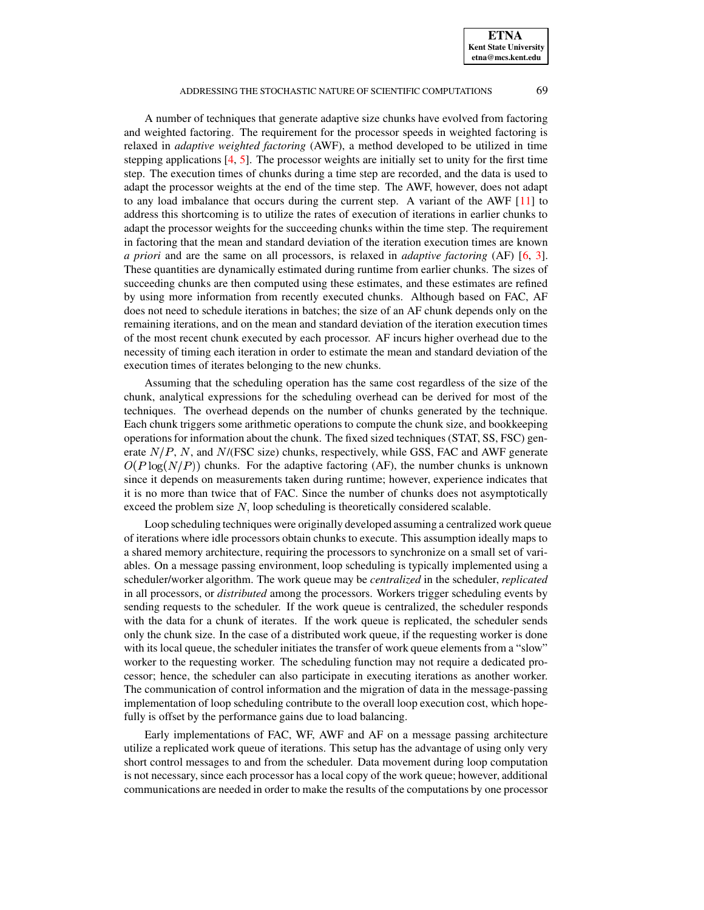A number of techniques that generate adaptive size chunks have evolved from factoring and weighted factoring. The requirement for the processor speeds in weighted factoring is relaxed in *adaptive weighted factoring* (AWF), a method developed to be utilized in time stepping applications [\[4,](#page-13-11) [5\]](#page-13-12). The processor weights are initially set to unity for the first time step. The execution times of chunks during a time step are recorded, and the data is used to adapt the processor weights at the end of the time step. The AWF, however, does not adapt to any load imbalance that occurs during the current step. A variant of the AWF [\[11\]](#page-13-13) to address this shortcoming is to utilize the rates of execution of iterations in earlier chunks to adapt the processor weights for the succeeding chunks within the time step. The requirement in factoring that the mean and standard deviation of the iteration execution times are known *a priori* and are the same on all processors, is relaxed in *adaptive factoring* (AF) [\[6,](#page-13-14) [3\]](#page-12-1). These quantities are dynamically estimated during runtime from earlier chunks. The sizes of succeeding chunks are then computed using these estimates, and these estimates are refined by using more information from recently executed chunks. Although based on FAC, AF does not need to schedule iterations in batches; the size of an AF chunk depends only on the remaining iterations, and on the mean and standard deviation of the iteration execution times of the most recent chunk executed by each processor. AF incurs higher overhead due to the necessity of timing each iteration in order to estimate the mean and standard deviation of the execution times of iterates belonging to the new chunks.

Assuming that the scheduling operation has the same cost regardless of the size of the chunk, analytical expressions for the scheduling overhead can be derived for most of the techniques. The overhead depends on the number of chunks generated by the technique. Each chunk triggers some arithmetic operations to compute the chunk size, and bookkeeping operations for information about the chunk. The fixed sized techniques (STAT, SS, FSC) generate  $N/P$ , N, and  $N/(FSC$  size) chunks, respectively, while GSS, FAC and AWF generate  $O(P \log(N/P))$  chunks. For the adaptive factoring (AF), the number chunks is unknown since it depends on measurements taken during runtime; however, experience indicates that it is no more than twice that of FAC. Since the number of chunks does not asymptotically exceed the problem size  $N$ , loop scheduling is theoretically considered scalable.

Loop scheduling techniques were originally developed assuming a centralized work queue of iterations where idle processors obtain chunks to execute. This assumption ideally maps to a shared memory architecture, requiring the processors to synchronize on a small set of variables. On a message passing environment, loop scheduling is typically implemented using a scheduler/worker algorithm. The work queue may be *centralized* in the scheduler, *replicated* in all processors, or *distributed* among the processors. Workers trigger scheduling events by sending requests to the scheduler. If the work queue is centralized, the scheduler responds with the data for a chunk of iterates. If the work queue is replicated, the scheduler sends only the chunk size. In the case of a distributed work queue, if the requesting worker is done with its local queue, the scheduler initiates the transfer of work queue elements from a "slow" worker to the requesting worker. The scheduling function may not require a dedicated processor; hence, the scheduler can also participate in executing iterations as another worker. The communication of control information and the migration of data in the message-passing implementation of loop scheduling contribute to the overall loop execution cost, which hopefully is offset by the performance gains due to load balancing.

Early implementations of FAC, WF, AWF and AF on a message passing architecture utilize a replicated work queue of iterations. This setup has the advantage of using only very short control messages to and from the scheduler. Data movement during loop computation is not necessary, since each processor has a local copy of the work queue; however, additional communications are needed in order to make the results of the computations by one processor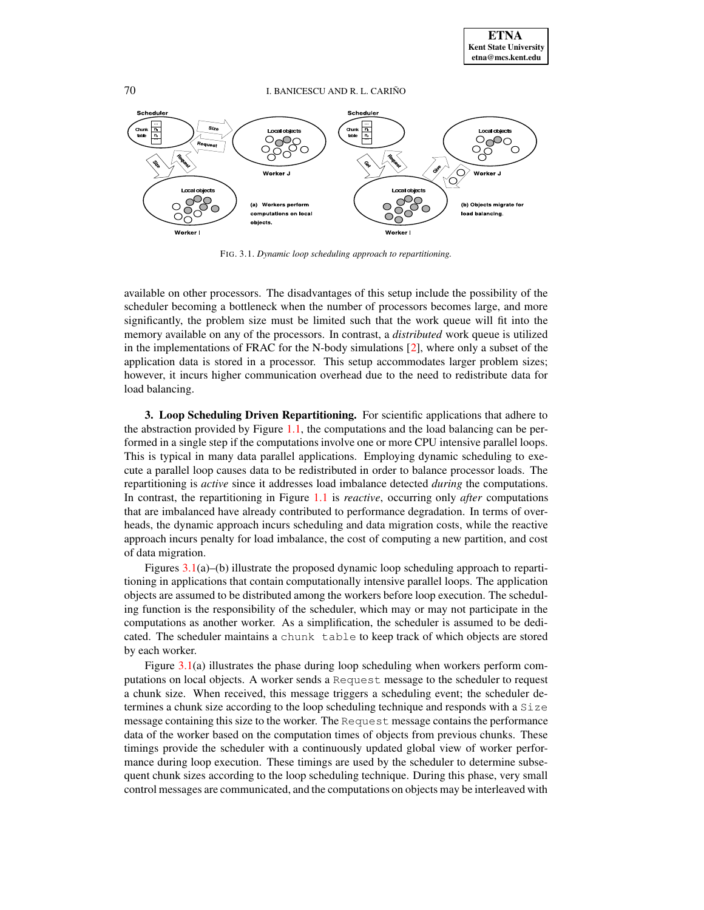

<span id="page-4-1"></span>FIG. 3.1. *Dynamic loop scheduling approach to repartitioning.*

available on other processors. The disadvantages of this setup include the possibility of the scheduler becoming a bottleneck when the number of processors becomes large, and more significantly, the problem size must be limited such that the work queue will fit into the memory available on any of the processors. In contrast, a *distributed* work queue is utilized in the implementations of FRAC for the N-body simulations [\[2\]](#page-12-0), where only a subset of the application data is stored in a processor. This setup accommodates larger problem sizes; however, it incurs higher communication overhead due to the need to redistribute data for load balancing.

<span id="page-4-0"></span>**3. Loop Scheduling Driven Repartitioning.** For scientific applications that adhere to the abstraction provided by Figure [1.1,](#page-1-0) the computations and the load balancing can be performed in a single step if the computations involve one or more CPU intensive parallel loops. This is typical in many data parallel applications. Employing dynamic scheduling to execute a parallel loop causes data to be redistributed in order to balance processor loads. The repartitioning is *active* since it addresses load imbalance detected *during* the computations. In contrast, the repartitioning in Figure [1.1](#page-1-0) is *reactive*, occurring only *after* computations that are imbalanced have already contributed to performance degradation. In terms of overheads, the dynamic approach incurs scheduling and data migration costs, while the reactive approach incurs penalty for load imbalance, the cost of computing a new partition, and cost of data migration.

Figures [3.1\(](#page-4-1)a)–(b) illustrate the proposed dynamic loop scheduling approach to repartitioning in applications that contain computationally intensive parallel loops. The application objects are assumed to be distributed among the workers before loop execution. The scheduling function is the responsibility of the scheduler, which may or may not participate in the computations as another worker. As a simplification, the scheduler is assumed to be dedicated. The scheduler maintains a chunk table to keep track of which objects are stored by each worker.

Figure [3.1\(](#page-4-1)a) illustrates the phase during loop scheduling when workers perform computations on local objects. A worker sends a Request message to the scheduler to request a chunk size. When received, this message triggers a scheduling event; the scheduler determines a chunk size according to the loop scheduling technique and responds with a Size message containing this size to the worker. The Request message contains the performance data of the worker based on the computation times of objects from previous chunks. These timings provide the scheduler with a continuously updated global view of worker performance during loop execution. These timings are used by the scheduler to determine subsequent chunk sizes according to the loop scheduling technique. During this phase, very small control messages are communicated, and the computations on objects may be interleaved with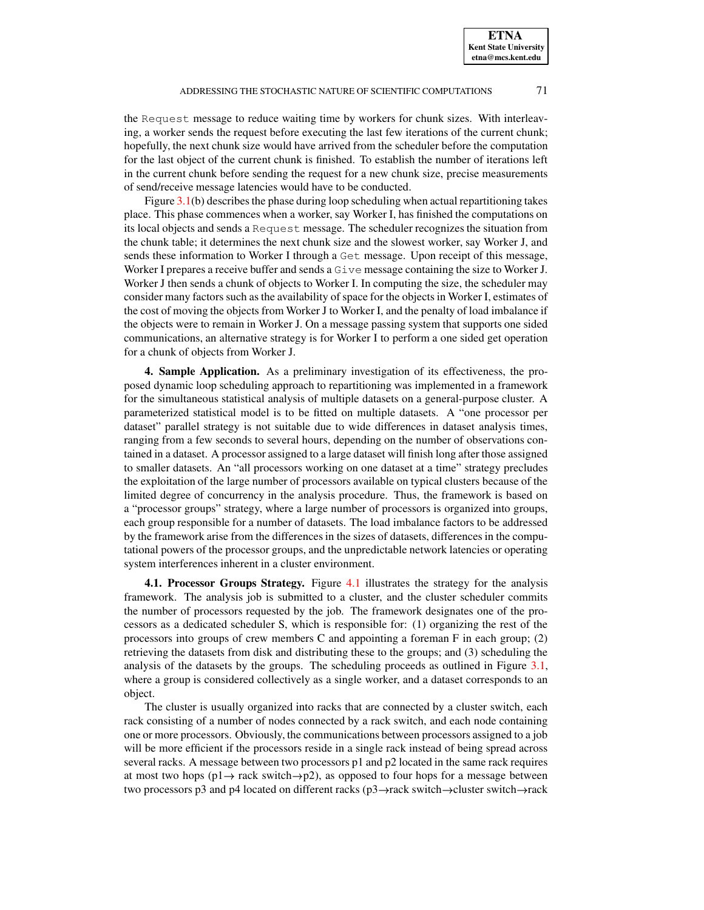the Request message to reduce waiting time by workers for chunk sizes. With interleaving, a worker sends the request before executing the last few iterations of the current chunk; hopefully, the next chunk size would have arrived from the scheduler before the computation for the last object of the current chunk is finished. To establish the number of iterations left in the current chunk before sending the request for a new chunk size, precise measurements of send/receive message latencies would have to be conducted.

Figure  $3.1(b)$  $3.1(b)$  describes the phase during loop scheduling when actual repartitioning takes place. This phase commences when a worker, say Worker I, has finished the computations on its local objects and sends a Request message. The scheduler recognizes the situation from the chunk table; it determines the next chunk size and the slowest worker, say Worker J, and sends these information to Worker I through a Get message. Upon receipt of this message, Worker I prepares a receive buffer and sends a Give message containing the size to Worker J. Worker J then sends a chunk of objects to Worker I. In computing the size, the scheduler may consider many factors such as the availability of space for the objects in Worker I, estimates of the cost of moving the objects from Worker J to Worker I, and the penalty of load imbalance if the objects were to remain in Worker J. On a message passing system that supports one sided communications, an alternative strategy is for Worker I to perform a one sided get operation for a chunk of objects from Worker J.

<span id="page-5-0"></span>**4. Sample Application.** As a preliminary investigation of its effectiveness, the proposed dynamic loop scheduling approach to repartitioning was implemented in a framework for the simultaneous statistical analysis of multiple datasets on a general-purpose cluster. A parameterized statistical model is to be fitted on multiple datasets. A "one processor per dataset" parallel strategy is not suitable due to wide differences in dataset analysis times, ranging from a few seconds to several hours, depending on the number of observations contained in a dataset. A processor assigned to a large dataset will finish long after those assigned to smaller datasets. An "all processors working on one dataset at a time" strategy precludes the exploitation of the large number of processors available on typical clusters because of the limited degree of concurrency in the analysis procedure. Thus, the framework is based on a "processor groups" strategy, where a large number of processors is organized into groups, each group responsible for a number of datasets. The load imbalance factors to be addressed by the framework arise from the differences in the sizes of datasets, differences in the computational powers of the processor groups, and the unpredictable network latencies or operating system interferences inherent in a cluster environment.

**4.1. Processor Groups Strategy.** Figure [4.1](#page-6-0) illustrates the strategy for the analysis framework. The analysis job is submitted to a cluster, and the cluster scheduler commits the number of processors requested by the job. The framework designates one of the processors as a dedicated scheduler S, which is responsible for: (1) organizing the rest of the processors into groups of crew members C and appointing a foreman F in each group; (2) retrieving the datasets from disk and distributing these to the groups; and (3) scheduling the analysis of the datasets by the groups. The scheduling proceeds as outlined in Figure [3.1,](#page-4-1) where a group is considered collectively as a single worker, and a dataset corresponds to an object.

The cluster is usually organized into racks that are connected by a cluster switch, each rack consisting of a number of nodes connected by a rack switch, and each node containing one or more processors. Obviously, the communications between processors assigned to a job will be more efficient if the processors reside in a single rack instead of being spread across several racks. A message between two processors p1 and p2 located in the same rack requires at most two hops ( $p1 \rightarrow$  rack switch $\rightarrow$  $p2$ ), as opposed to four hops for a message between two processors p3 and p4 located on different racks (p3 $\rightarrow$ rack switch $\rightarrow$ cluster switch $\rightarrow$ rack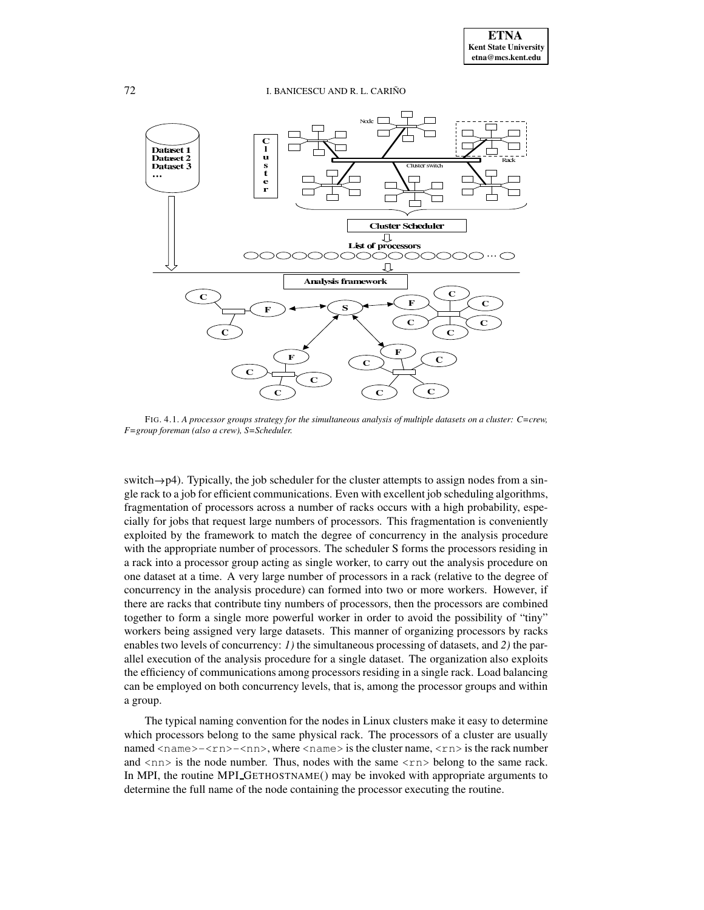

<span id="page-6-0"></span>FIG. 4.1. *A processor groups strategy for the simultaneous analysis of multiple datasets on a cluster: C=crew, F=group foreman (also a crew), S=Scheduler.*

switch $\rightarrow$ p4). Typically, the job scheduler for the cluster attempts to assign nodes from a single rack to a job for efficient communications. Even with excellent job scheduling algorithms, fragmentation of processors across a number of racks occurs with a high probability, especially for jobs that request large numbers of processors. This fragmentation is conveniently exploited by the framework to match the degree of concurrency in the analysis procedure with the appropriate number of processors. The scheduler S forms the processors residing in a rack into a processor group acting as single worker, to carry out the analysis procedure on one dataset at a time. A very large number of processors in a rack (relative to the degree of concurrency in the analysis procedure) can formed into two or more workers. However, if there are racks that contribute tiny numbers of processors, then the processors are combined together to form a single more powerful worker in order to avoid the possibility of "tiny" workers being assigned very large datasets. This manner of organizing processors by racks enables two levels of concurrency: *1)* the simultaneous processing of datasets, and *2)* the parallel execution of the analysis procedure for a single dataset. The organization also exploits the efficiency of communications among processors residing in a single rack. Load balancing can be employed on both concurrency levels, that is, among the processor groups and within a group.

The typical naming convention for the nodes in Linux clusters make it easy to determine which processors belong to the same physical rack. The processors of a cluster are usually named  $\langle$ name $\rangle$ - $\langle$ rn $\rangle$ - $\langle$ nn $\rangle$ , where  $\langle$ name $\rangle$  is the cluster name,  $\langle$ rn $\rangle$  is the rack number and  $\langle$ nn $>$  is the node number. Thus, nodes with the same  $\langle$ rn $>$  belong to the same rack. In MPI, the routine MPI GETHOSTNAME() may be invoked with appropriate arguments to determine the full name of the node containing the processor executing the routine.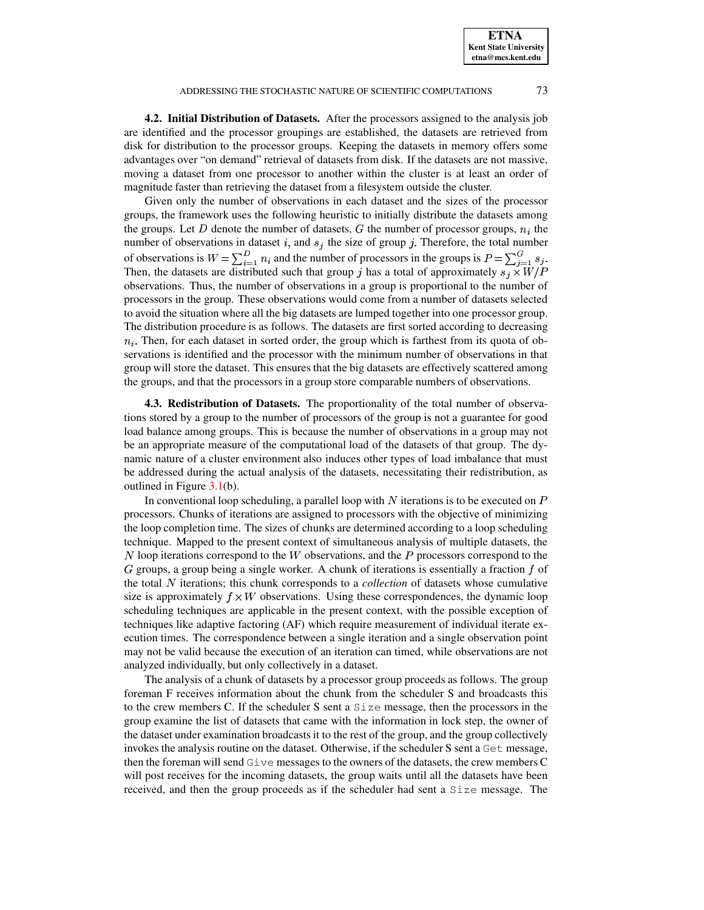**ETNA Kent State University etna@mcs.kent.edu**

**4.2. Initial Distribution of Datasets.** After the processors assigned to the analysis job are identified and the processor groupings are established, the datasets are retrieved from disk for distribution to the processor groups. Keeping the datasets in memory offers some advantages over "on demand" retrieval of datasets from disk. If the datasets are not massive, moving a dataset from one processor to another within the cluster is at least an order of magnitude faster than retrieving the dataset from a filesystem outside the cluster.

Given only the number of observations in each dataset and the sizes of the processor groups, the framework uses the following heuristic to initially distribute the datasets among the groups. Let D denote the number of datasets, G the number of processor groups,  $n_i$  the number of observations in dataset i, and  $s_j$  the size of group j. Therefore, the total number of observations is  $W = \sum_{i=1}^{D} n_i$  and the number of processors in the groups is  $P = \sum_{i=1}^{G} s_i$ . Then, the datasets are distributed such that group j has a total of approximately  $s_i \times W/P$ observations. Thus, the number of observations in a group is proportional to the number of processors in the group. These observations would come from a number of datasets selected to avoid the situation where all the big datasets are lumped together into one processor group. The distribution procedure is as follows. The datasets are first sorted according to decreasing  $n_i$ . Then, for each dataset in sorted order, the group which is farthest from its quota of observations is identified and the processor with the minimum number of observations in that group will store the dataset. This ensures that the big datasets are effectively scattered among the groups, and that the processors in a group store comparable numbers of observations.

**4.3. Redistribution of Datasets.** The proportionality of the total number of observations stored by a group to the number of processors of the group is not a guarantee for good load balance among groups. This is because the number of observations in a group may not be an appropriate measure of the computational load of the datasets of that group. The dynamic nature of a cluster environment also induces other types of load imbalance that must be addressed during the actual analysis of the datasets, necessitating their redistribution, as outlined in Figure [3.1\(](#page-4-1)b).

In conventional loop scheduling, a parallel loop with  $N$  iterations is to be executed on  $P$ processors. Chunks of iterations are assigned to processors with the objective of minimizing the loop completion time. The sizes of chunks are determined according to a loop scheduling technique. Mapped to the present context of simultaneous analysis of multiple datasets, the  $N$  loop iterations correspond to the  $W$  observations, and the  $P$  processors correspond to the  $G$  groups, a group being a single worker. A chunk of iterations is essentially a fraction  $f$  of the total N iterations; this chunk corresponds to a *collection* of datasets whose cumulative size is approximately  $f \times W$  observations. Using these correspondences, the dynamic loop scheduling techniques are applicable in the present context, with the possible exception of techniques like adaptive factoring (AF) which require measurement of individual iterate execution times. The correspondence between a single iteration and a single observation point may not be valid because the execution of an iteration can timed, while observations are not analyzed individually, but only collectively in a dataset.

The analysis of a chunk of datasets by a processor group proceeds as follows. The group foreman F receives information about the chunk from the scheduler S and broadcasts this to the crew members C. If the scheduler S sent a Size message, then the processors in the group examine the list of datasets that came with the information in lock step, the owner of the dataset under examination broadcasts it to the rest of the group, and the group collectively invokes the analysis routine on the dataset. Otherwise, if the scheduler S sent a Get message, then the foreman will send Give messages to the owners of the datasets, the crew members C will post receives for the incoming datasets, the group waits until all the datasets have been received, and then the group proceeds as if the scheduler had sent a Size message. The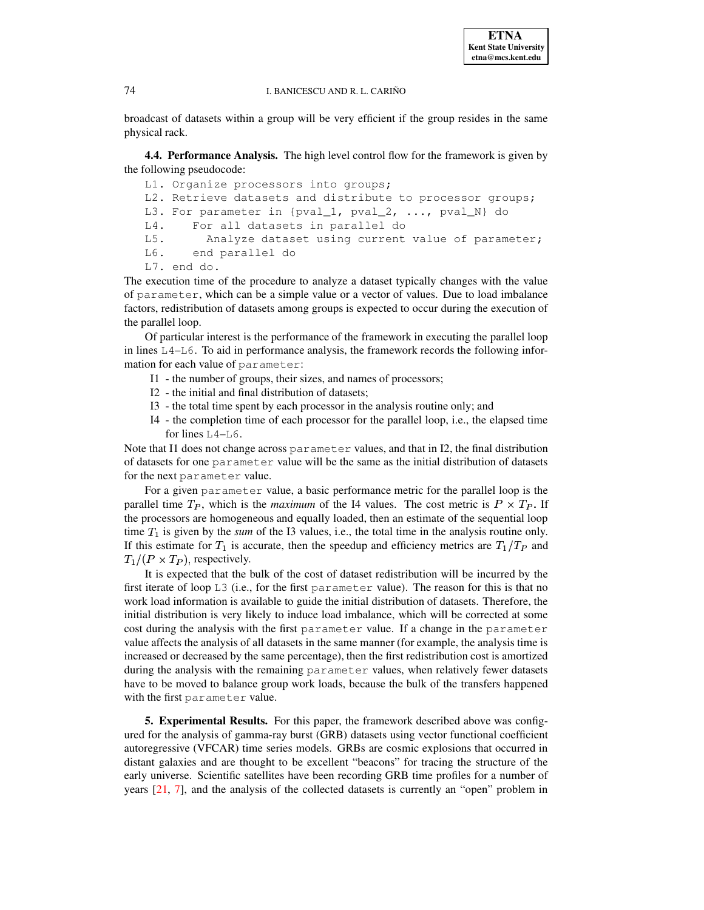broadcast of datasets within a group will be very efficient if the group resides in the same physical rack.

<span id="page-8-1"></span>**4.4. Performance Analysis.** The high level control flow for the framework is given by the following pseudocode:

```
L1. Organize processors into groups;
L2. Retrieve datasets and distribute to processor groups;
L3. For parameter in {pval_1, pval_2, ..., pval_N} do
L4. For all datasets in parallel do
L5. Analyze dataset using current value of parameter;
L6. end parallel do
L7. end do.
```
The execution time of the procedure to analyze a dataset typically changes with the value of parameter, which can be a simple value or a vector of values. Due to load imbalance factors, redistribution of datasets among groups is expected to occur during the execution of the parallel loop.

Of particular interest is the performance of the framework in executing the parallel loop in lines  $L_4$ – $L_6$ . To aid in performance analysis, the framework records the following information for each value of parameter:

- I1 the number of groups, their sizes, and names of processors;
- I2 the initial and final distribution of datasets;
- I3 the total time spent by each processor in the analysis routine only; and
- I4 the completion time of each processor for the parallel loop, i.e., the elapsed time for lines L4–L6.

Note that I1 does not change across parameter values, and that in I2, the final distribution of datasets for one parameter value will be the same as the initial distribution of datasets for the next parameter value.

For a given parameter value, a basic performance metric for the parallel loop is the parallel time  $T_P$ , which is the *maximum* of the I4 values. The cost metric is  $P \times T_P$ . If the processors are homogeneous and equally loaded, then an estimate of the sequential loop time  $T_1$  is given by the *sum* of the I3 values, i.e., the total time in the analysis routine only. If this estimate for  $T_1$  is accurate, then the speedup and efficiency metrics are  $T_1/T_P$  and  $T_1/(P \times T_P)$ , respectively.

It is expected that the bulk of the cost of dataset redistribution will be incurred by the first iterate of loop L3 (i.e., for the first parameter value). The reason for this is that no work load information is available to guide the initial distribution of datasets. Therefore, the initial distribution is very likely to induce load imbalance, which will be corrected at some cost during the analysis with the first parameter value. If a change in the parameter value affects the analysis of all datasets in the same manner (for example, the analysis time is increased or decreased by the same percentage), then the first redistribution cost is amortized during the analysis with the remaining parameter values, when relatively fewer datasets have to be moved to balance group work loads, because the bulk of the transfers happened with the first parameter value.

<span id="page-8-0"></span>**5. Experimental Results.** For this paper, the framework described above was configured for the analysis of gamma-ray burst (GRB) datasets using vector functional coefficient autoregressive (VFCAR) time series models. GRBs are cosmic explosions that occurred in distant galaxies and are thought to be excellent "beacons" for tracing the structure of the early universe. Scientific satellites have been recording GRB time profiles for a number of years [\[21,](#page-13-20) [7\]](#page-13-21), and the analysis of the collected datasets is currently an "open" problem in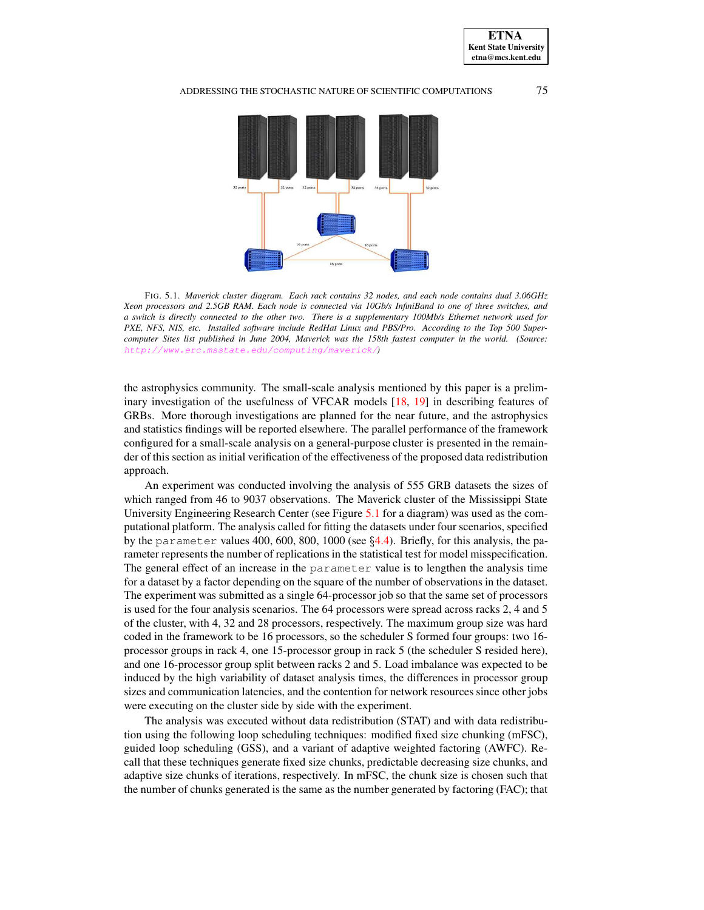

<span id="page-9-0"></span>FIG. 5.1. *Maverick cluster diagram. Each rack contains 32 nodes, and each node contains dual 3.06GHz* Xeon processors and 2.5GB RAM. Each node is connected via 10Gb/s InfiniBand to one of three switches, and a switch is directly connected to the other two. There is a supplementary 100Mb/s Ethernet network used for *PXE, NFS, NIS, etc. Installed software include RedHat Linux and PBS/Pro. According to the Top 500 Super*computer Sites list published in June 2004, Maverick was the 158th fastest computer in the world. (Source: <http://www.erc.msstate.edu/computing/maverick/>*)*

the astrophysics community. The small-scale analysis mentioned by this paper is a preliminary investigation of the usefulness of VFCAR models [\[18,](#page-13-22) [19\]](#page-13-23) in describing features of GRBs. More thorough investigations are planned for the near future, and the astrophysics and statistics findings will be reported elsewhere. The parallel performance of the framework configured for a small-scale analysis on a general-purpose cluster is presented in the remainder of this section as initial verification of the effectiveness of the proposed data redistribution approach.

An experiment was conducted involving the analysis of 555 GRB datasets the sizes of which ranged from 46 to 9037 observations. The Maverick cluster of the Mississippi State University Engineering Research Center (see Figure [5.1](#page-9-0) for a diagram) was used as the computational platform. The analysis called for fitting the datasets under four scenarios, specified by the parameter values 400, 600, 800, 1000 (see  $\S 4.4$ ). Briefly, for this analysis, the parameter represents the number of replications in the statistical test for model misspecification. The general effect of an increase in the parameter value is to lengthen the analysis time for a dataset by a factor depending on the square of the number of observations in the dataset. The experiment was submitted as a single 64-processor job so that the same set of processors is used for the four analysis scenarios. The 64 processors were spread across racks 2, 4 and 5 of the cluster, with 4, 32 and 28 processors, respectively. The maximum group size was hard coded in the framework to be 16 processors, so the scheduler S formed four groups: two 16 processor groups in rack 4, one 15-processor group in rack 5 (the scheduler S resided here), and one 16-processor group split between racks 2 and 5. Load imbalance was expected to be induced by the high variability of dataset analysis times, the differences in processor group sizes and communication latencies, and the contention for network resources since other jobs were executing on the cluster side by side with the experiment.

The analysis was executed without data redistribution (STAT) and with data redistribution using the following loop scheduling techniques: modified fixed size chunking (mFSC), guided loop scheduling (GSS), and a variant of adaptive weighted factoring (AWFC). Recall that these techniques generate fixed size chunks, predictable decreasing size chunks, and adaptive size chunks of iterations, respectively. In mFSC, the chunk size is chosen such that the number of chunks generated is the same as the number generated by factoring (FAC); that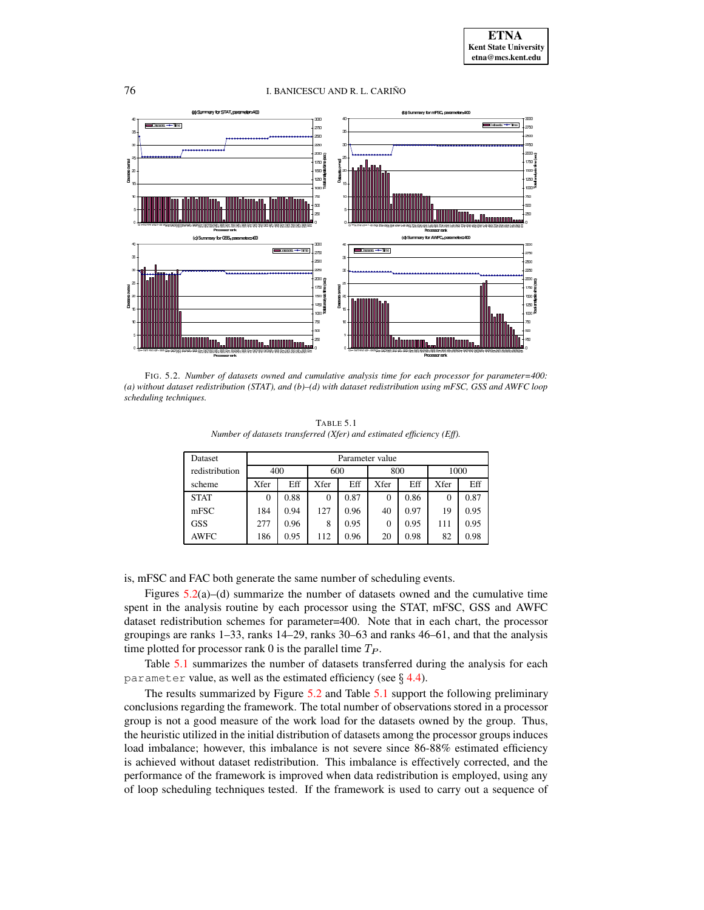

<span id="page-10-0"></span>FIG. 5.2. *Number of datasets owned and cumulative analysis time for each processor for parameter=400: (a) without dataset redistribution (STAT), and (b)–(d) with dataset redistribution using mFSC, GSS and AWFC loop scheduling techniques.*

TABLE 5.1 *Number of datasets transferred (Xfer) and estimated efficiency (Eff).*

<span id="page-10-1"></span>

| Dataset        | Parameter value |      |          |      |      |      |      |      |
|----------------|-----------------|------|----------|------|------|------|------|------|
| redistribution | 400             |      | 600      |      | 800  |      | 1000 |      |
| scheme         | Xfer            | Eff  | Xfer     | Eff  | Xfer | Eff  | Xfer | Eff  |
| <b>STAT</b>    | 0               | 0.88 | $\Omega$ | 0.87 | 0    | 0.86 | 0    | 0.87 |
| mFSC           | 184             | 0.94 | 127      | 0.96 | 40   | 0.97 | 19   | 0.95 |
| <b>GSS</b>     | 277             | 0.96 | 8        | 0.95 | 0    | 0.95 | 111  | 0.95 |
| <b>AWFC</b>    | 186             | 0.95 | 112      | 0.96 | 20   | 0.98 | 82   | 0.98 |

is, mFSC and FAC both generate the same number of scheduling events.

Figures  $5.2(a)$  $5.2(a)$ –(d) summarize the number of datasets owned and the cumulative time spent in the analysis routine by each processor using the STAT, mFSC, GSS and AWFC dataset redistribution schemes for parameter=400. Note that in each chart, the processor groupings are ranks 1–33, ranks 14–29, ranks 30–63 and ranks 46–61, and that the analysis time plotted for processor rank 0 is the parallel time  $T_P$ .

Table [5.1](#page-10-1) summarizes the number of datasets transferred during the analysis for each parameter value, as well as the estimated efficiency (see  $\S$  [4.4\)](#page-8-1).

The results summarized by Figure [5.2](#page-10-0) and Table [5.1](#page-10-1) support the following preliminary conclusions regarding the framework. The total number of observations stored in a processor group is not a good measure of the work load for the datasets owned by the group. Thus, the heuristic utilized in the initial distribution of datasets among the processor groups induces load imbalance; however, this imbalance is not severe since 86-88% estimated efficiency is achieved without dataset redistribution. This imbalance is effectively corrected, and the performance of the framework is improved when data redistribution is employed, using any of loop scheduling techniques tested. If the framework is used to carry out a sequence of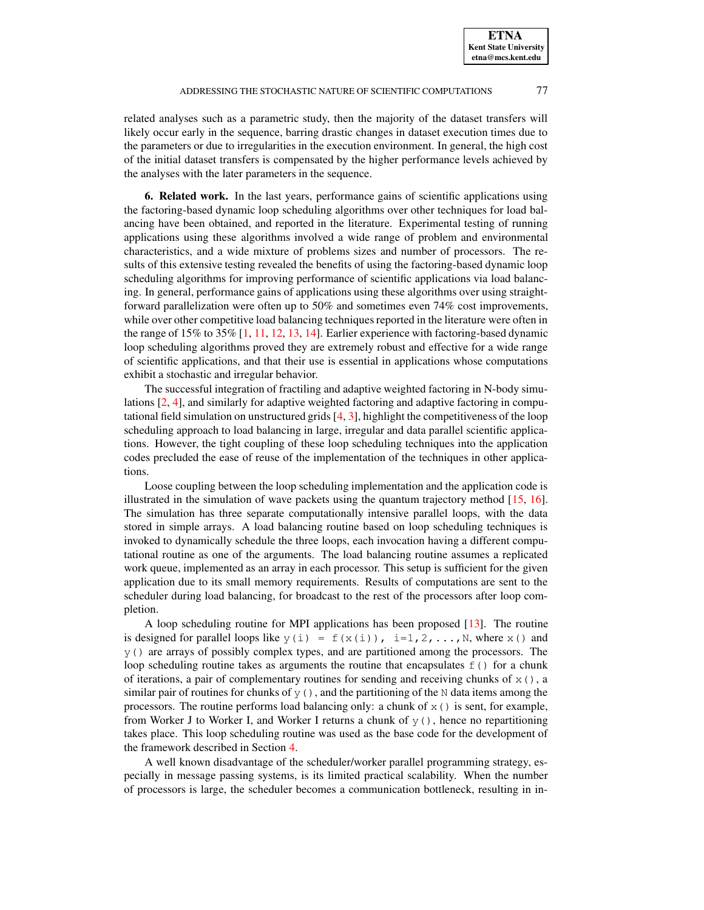related analyses such as a parametric study, then the majority of the dataset transfers will likely occur early in the sequence, barring drastic changes in dataset execution times due to the parameters or due to irregularities in the execution environment. In general, the high cost of the initial dataset transfers is compensated by the higher performance levels achieved by the analyses with the later parameters in the sequence.

<span id="page-11-0"></span>**6. Related work.** In the last years, performance gains of scientific applications using the factoring-based dynamic loop scheduling algorithms over other techniques for load balancing have been obtained, and reported in the literature. Experimental testing of running applications using these algorithms involved a wide range of problem and environmental characteristics, and a wide mixture of problems sizes and number of processors. The results of this extensive testing revealed the benefits of using the factoring-based dynamic loop scheduling algorithms for improving performance of scientific applications via load balancing. In general, performance gains of applications using these algorithms over using straightforward parallelization were often up to 50% and sometimes even 74% cost improvements, while over other competitive load balancing techniques reported in the literature were often in the range of  $15\%$  to  $35\%$  [\[1,](#page-12-2) [11,](#page-13-13) [12,](#page-13-15) [13,](#page-13-18) [14\]](#page-13-24). Earlier experience with factoring-based dynamic loop scheduling algorithms proved they are extremely robust and effective for a wide range of scientific applications, and that their use is essential in applications whose computations exhibit a stochastic and irregular behavior.

The successful integration of fractiling and adaptive weighted factoring in N-body simulations [\[2,](#page-12-0) [4\]](#page-13-11), and similarly for adaptive weighted factoring and adaptive factoring in computational field simulation on unstructured grids [\[4,](#page-13-11) [3\]](#page-12-1), highlight the competitiveness of the loop scheduling approach to load balancing in large, irregular and data parallel scientific applications. However, the tight coupling of these loop scheduling techniques into the application codes precluded the ease of reuse of the implementation of the techniques in other applications.

Loose coupling between the loop scheduling implementation and the application code is illustrated in the simulation of wave packets using the quantum trajectory method [\[15,](#page-13-16) [16\]](#page-13-17). The simulation has three separate computationally intensive parallel loops, with the data stored in simple arrays. A load balancing routine based on loop scheduling techniques is invoked to dynamically schedule the three loops, each invocation having a different computational routine as one of the arguments. The load balancing routine assumes a replicated work queue, implemented as an array in each processor. This setup is sufficient for the given application due to its small memory requirements. Results of computations are sent to the scheduler during load balancing, for broadcast to the rest of the processors after loop completion.

A loop scheduling routine for MPI applications has been proposed [\[13\]](#page-13-18). The routine is designed for parallel loops like  $y(i) = f(x(i))$ , i=1,2,..., N, where x() and y() are arrays of possibly complex types, and are partitioned among the processors. The loop scheduling routine takes as arguments the routine that encapsulates  $f(t)$  for a chunk of iterations, a pair of complementary routines for sending and receiving chunks of  $x()$ , a similar pair of routines for chunks of  $y()$ , and the partitioning of the N data items among the processors. The routine performs load balancing only: a chunk of  $x()$  is sent, for example, from Worker J to Worker I, and Worker I returns a chunk of  $y($ ), hence no repartitioning takes place. This loop scheduling routine was used as the base code for the development of the framework described in Section [4.](#page-5-0)

A well known disadvantage of the scheduler/worker parallel programming strategy, especially in message passing systems, is its limited practical scalability. When the number of processors is large, the scheduler becomes a communication bottleneck, resulting in in-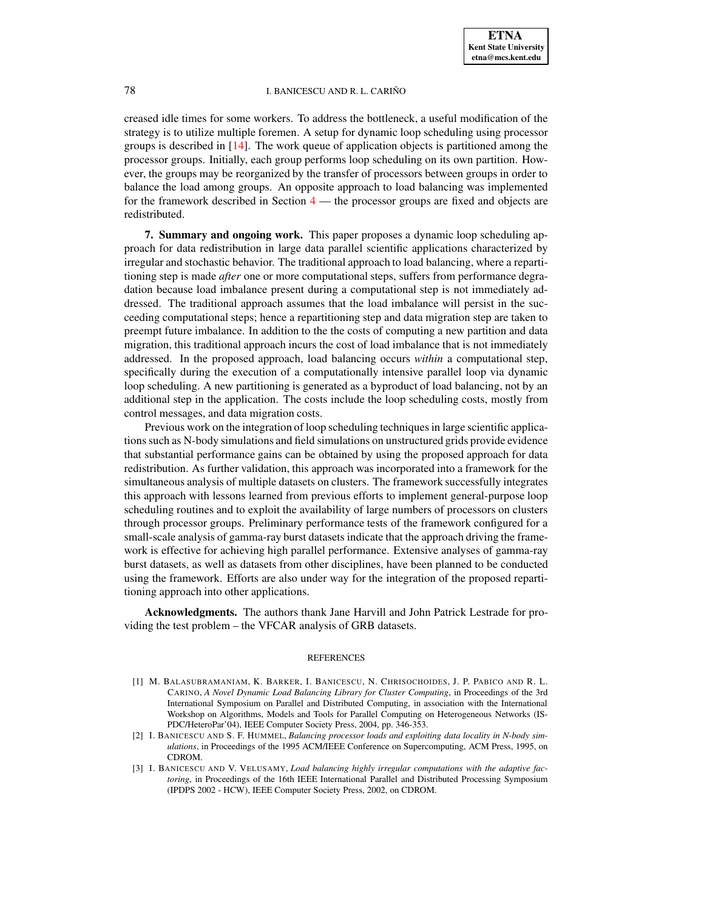creased idle times for some workers. To address the bottleneck, a useful modification of the strategy is to utilize multiple foremen. A setup for dynamic loop scheduling using processor groups is described in [\[14\]](#page-13-24). The work queue of application objects is partitioned among the processor groups. Initially, each group performs loop scheduling on its own partition. However, the groups may be reorganized by the transfer of processors between groups in order to balance the load among groups. An opposite approach to load balancing was implemented for the framework described in Section [4](#page-5-0) — the processor groups are fixed and objects are redistributed.

<span id="page-12-3"></span>**7. Summary and ongoing work.** This paper proposes a dynamic loop scheduling approach for data redistribution in large data parallel scientific applications characterized by irregular and stochastic behavior. The traditional approach to load balancing, where a repartitioning step is made *after* one or more computational steps, suffers from performance degradation because load imbalance present during a computational step is not immediately addressed. The traditional approach assumes that the load imbalance will persist in the succeeding computational steps; hence a repartitioning step and data migration step are taken to preempt future imbalance. In addition to the the costs of computing a new partition and data migration, this traditional approach incurs the cost of load imbalance that is not immediately addressed. In the proposed approach, load balancing occurs *within* a computational step, specifically during the execution of a computationally intensive parallel loop via dynamic loop scheduling. A new partitioning is generated as a byproduct of load balancing, not by an additional step in the application. The costs include the loop scheduling costs, mostly from control messages, and data migration costs.

Previous work on the integration of loop scheduling techniquesin large scientific applications such as N-body simulations and field simulations on unstructured grids provide evidence that substantial performance gains can be obtained by using the proposed approach for data redistribution. As further validation, this approach was incorporated into a framework for the simultaneous analysis of multiple datasets on clusters. The framework successfully integrates this approach with lessons learned from previous efforts to implement general-purpose loop scheduling routines and to exploit the availability of large numbers of processors on clusters through processor groups. Preliminary performance tests of the framework configured for a small-scale analysis of gamma-ray burst datasets indicate that the approach driving the framework is effective for achieving high parallel performance. Extensive analyses of gamma-ray burst datasets, as well as datasets from other disciplines, have been planned to be conducted using the framework. Efforts are also under way for the integration of the proposed repartitioning approach into other applications.

**Acknowledgments.** The authors thank Jane Harvill and John Patrick Lestrade for providing the test problem – the VFCAR analysis of GRB datasets.

#### REFERENCES

- <span id="page-12-2"></span>[1] M. BALASUBRAMANIAM, K. BARKER, I. BANICESCU, N. CHRISOCHOIDES, J. P. PABICO AND R. L. CARINO, *A Novel Dynamic Load Balancing Library for Cluster Computing*, in Proceedings of the 3rd International Symposium on Parallel and Distributed Computing, in association with the International Workshop on Algorithms, Models and Tools for Parallel Computing on Heterogeneous Networks (IS-PDC/HeteroPar'04), IEEE Computer Society Press, 2004, pp. 346-353.
- <span id="page-12-0"></span>[2] I. BANICESCU AND S. F. HUMMEL, *Balancing processor loads and exploiting data locality in N-body simulations*, in Proceedings of the 1995 ACM/IEEE Conference on Supercomputing, ACM Press, 1995, on CDROM.
- <span id="page-12-1"></span>[3] I. BANICESCU AND V. VELUSAMY, *Load balancing highly irregular computations with the adaptive factoring*, in Proceedings of the 16th IEEE International Parallel and Distributed Processing Symposium (IPDPS 2002 - HCW), IEEE Computer Society Press, 2002, on CDROM.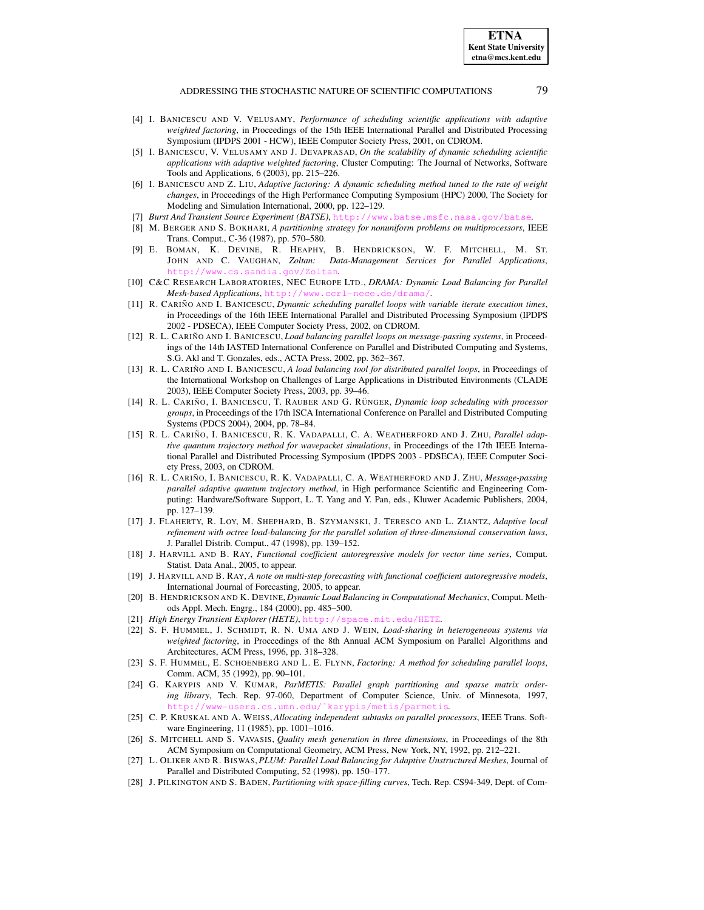- <span id="page-13-11"></span>[4] I. BANICESCU AND V. VELUSAMY, *Performance of scheduling scientific applications with adaptive weighted factoring*, in Proceedings of the 15th IEEE International Parallel and Distributed Processing Symposium (IPDPS 2001 - HCW), IEEE Computer Society Press, 2001, on CDROM.
- <span id="page-13-12"></span>[5] I. BANICESCU, V. VELUSAMY AND J. DEVAPRASAD, *On the scalability of dynamic scheduling scientific applications with adaptive weighted factoring*, Cluster Computing: The Journal of Networks, Software Tools and Applications, 6 (2003), pp. 215–226.
- <span id="page-13-14"></span>[6] I. BANICESCU AND Z. LIU, *Adaptive factoring: A dynamic scheduling method tuned to the rate of weight changes*, in Proceedings of the High Performance Computing Symposium (HPC) 2000, The Society for Modeling and Simulation International, 2000, pp. 122–129.
- <span id="page-13-21"></span><span id="page-13-4"></span>[7] *Burst And Transient Source Experiment (BATSE)*, <http://www.batse.msfc.nasa.gov/batse>.
- [8] M. BERGER AND S. BOKHARI, *A partitioning strategy for nonuniform problems on multiprocessors*, IEEE Trans. Comput., C-36 (1987), pp. 570–580.
- <span id="page-13-3"></span>[9] E. BOMAN, K. DEVINE, R. HEAPHY, B. HENDRICKSON, W. F. MITCHELL, M. ST. JOHN AND C. VAUGHAN, *Zoltan: Data-Management Services for Parallel Applications*, <http://www.cs.sandia.gov/Zoltan>.
- <span id="page-13-2"></span>[10] C&C RESEARCH LABORATORIES, NEC EUROPE LTD., *DRAMA: Dynamic Load Balancing for Parallel Mesh-based Applications*, <http://www.ccrl-nece.de/drama/>.
- <span id="page-13-13"></span>[11] R. CARIN˜ O AND I. BANICESCU, *Dynamic scheduling parallel loops with variable iterate execution times*, in Proceedings of the 16th IEEE International Parallel and Distributed Processing Symposium (IPDPS 2002 - PDSECA), IEEE Computer Society Press, 2002, on CDROM.
- <span id="page-13-15"></span>[12] R. L. CARIN˜ O AND I. BANICESCU, *Load balancing parallel loops on message-passing systems*, in Proceedings of the 14th IASTED International Conference on Parallel and Distributed Computing and Systems, S.G. Akl and T. Gonzales, eds., ACTA Press, 2002, pp. 362–367.
- <span id="page-13-18"></span>[13] R. L. CARIN˜ O AND I. BANICESCU, *A load balancing tool for distributed parallel loops*, in Proceedings of the International Workshop on Challenges of Large Applications in Distributed Environments (CLADE 2003), IEEE Computer Society Press, 2003, pp. 39–46.
- <span id="page-13-24"></span>[14] R. L. CARIN˜ O, I. BANICESCU, T. RAUBER AND G. RU¨ NGER, *Dynamic loop scheduling with processor groups*, in Proceedings of the 17th ISCA International Conference on Parallel and Distributed Computing Systems (PDCS 2004), 2004, pp. 78–84.
- <span id="page-13-16"></span>[15] R. L. CARIN˜ O, I. BANICESCU, R. K. VADAPALLI, C. A. WEATHERFORD AND J. ZHU, *Parallel adaptive quantum trajectory method for wavepacket simulations*, in Proceedings of the 17th IEEE International Parallel and Distributed Processing Symposium (IPDPS 2003 - PDSECA), IEEE Computer Society Press, 2003, on CDROM.
- <span id="page-13-17"></span>[16] R. L. CARIN˜ O, I. BANICESCU, R. K. VADAPALLI, C. A. WEATHERFORD AND J. ZHU, *Message-passing parallel adaptive quantum trajectory method*, in High performance Scientific and Engineering Computing: Hardware/Software Support, L. T. Yang and Y. Pan, eds., Kluwer Academic Publishers, 2004, pp. 127–139.
- <span id="page-13-8"></span>[17] J. FLAHERTY, R. LOY, M. SHEPHARD, B. SZYMANSKI, J. TERESCO AND L. ZIANTZ, *Adaptive local refinement with octree load-balancing for the parallel solution of three-dimensional conservation laws*, J. Parallel Distrib. Comput., 47 (1998), pp. 139–152.
- <span id="page-13-22"></span>[18] J. HARVILL AND B. RAY, *Functional coefficient autoregressive models for vector time series*, Comput. Statist. Data Anal., 2005, to appear.
- <span id="page-13-23"></span>[19] J. HARVILL AND B. RAY, *A note on multi-step forecasting with functional coefficient autoregressive models*, International Journal of Forecasting, 2005, to appear.
- <span id="page-13-0"></span>[20] B. HENDRICKSON AND K. DEVINE, *Dynamic Load Balancing in Computational Mechanics*, Comput. Methods Appl. Mech. Engrg., 184 (2000), pp. 485–500.
- <span id="page-13-20"></span><span id="page-13-10"></span>[21] *High Energy Transient Explorer (HETE)*, <http://space.mit.edu/HETE>.
- [22] S. F. HUMMEL, J. SCHMIDT, R. N. UMA AND J. WEIN, *Load-sharing in heterogeneous systems via weighted factoring*, in Proceedings of the 8th Annual ACM Symposium on Parallel Algorithms and Architectures, ACM Press, 1996, pp. 318–328.
- <span id="page-13-9"></span>[23] S. F. HUMMEL, E. SCHOENBERG AND L. E. FLYNN, *Factoring: A method for scheduling parallel loops*, Comm. ACM, 35 (1992), pp. 90–101.
- <span id="page-13-7"></span>[24] G. KARYPIS AND V. KUMAR, *ParMETIS: Parallel graph partitioning and sparse matrix ordering library*, Tech. Rep. 97-060, Department of Computer Science, Univ. of Minnesota, 1997, [http://www-users.cs.umn.edu/˜karypis/metis/parmetis](http://www-users.cs.umn.edu/~karypis/metis/parmetis).
- <span id="page-13-19"></span>[25] C. P. KRUSKAL AND A. WEISS, *Allocating independent subtasks on parallel processors*, IEEE Trans. Software Engineering, 11 (1985), pp. 1001–1016.
- <span id="page-13-6"></span>[26] S. MITCHELL AND S. VAVASIS, *Quality mesh generation in three dimensions*, in Proceedings of the 8th ACM Symposium on Computational Geometry, ACM Press, New York, NY, 1992, pp. 212–221.
- <span id="page-13-1"></span>[27] L. OLIKER AND R. BISWAS,*PLUM: Parallel Load Balancing for Adaptive Unstructured Meshes*, Journal of Parallel and Distributed Computing, 52 (1998), pp. 150–177.
- <span id="page-13-5"></span>[28] J. PILKINGTON AND S. BADEN, *Partitioning with space-filling curves*, Tech. Rep. CS94-349, Dept. of Com-

**ETNA Kent State University etna@mcs.kent.edu**